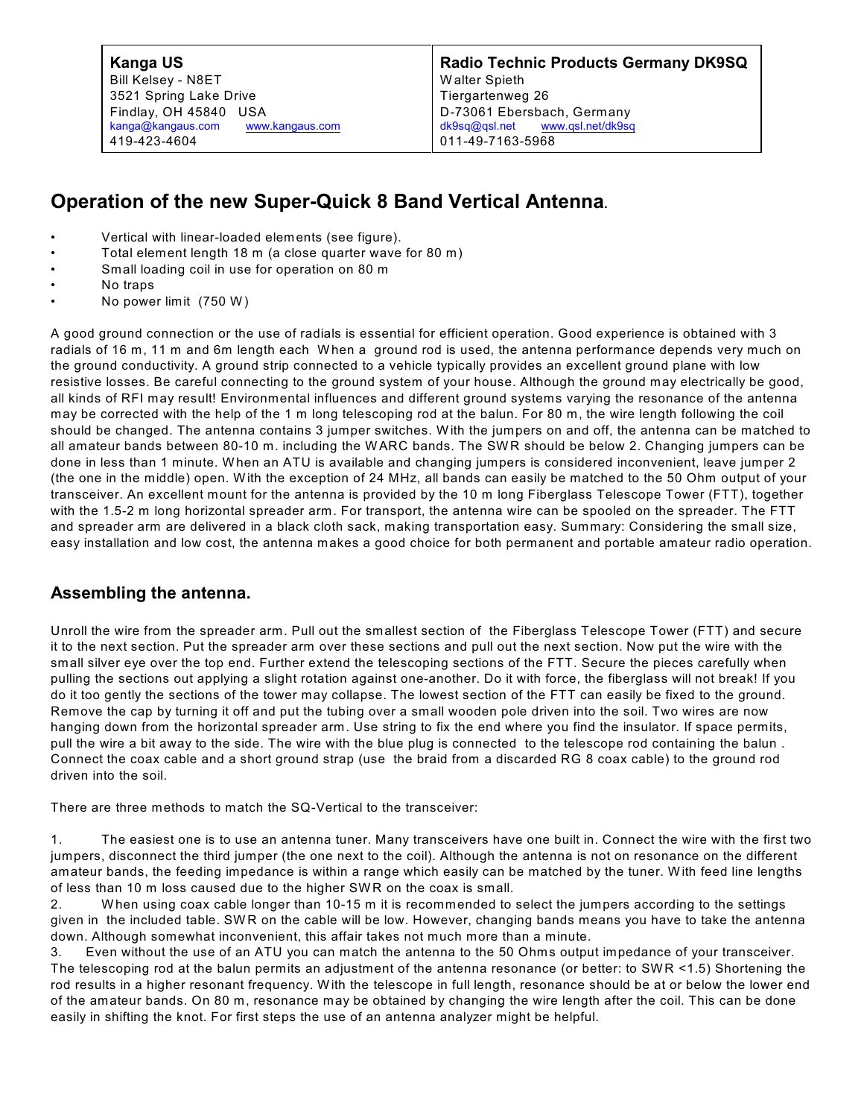Bill Kelsey - N8ET 3521 Spring Lake Drive Findlay, OH 45840 USA [kanga@kangaus.com](mailto:kanga@bright.net) [www.kangaus.com](http://www.bright.net/~kanga/kanga/) 419-423-4604

**Radio Technic Products Germany DK9SQ** W alter Spieth Tiergartenweg 26 D-73061 Ebersbach, Germany [dk9sq@qsl.net](mailto:dk9sq@qsl.net) [www.qsl.net/dk9sq](http://www.qsl.net/dk9sq) 011-49-7163-5968

## **Operation of the new Super-Quick 8 Band Vertical Antenna.**

- Vertical with linear-loaded elements (see figure).
- Total element length 18 m (a close quarter wave for 80 m)
- Small loading coil in use for operation on 80 m
- No traps
- No power limit (750 W )

A good ground connection or the use of radials is essential for efficient operation. Good experience is obtained with 3 radials of 16 m, 11 m and 6m length each W hen a ground rod is used, the antenna performance depends very much on the ground conductivity. A ground strip connected to a vehicle typically provides an excellent ground plane with low resistive losses. Be careful connecting to the ground system of your house. Although the ground may electrically be good, all kinds of RFI may result! Environmental influences and different ground systems varying the resonance of the antenna may be corrected with the help of the 1 m long telescoping rod at the balun. For 80 m, the wire length following the coil should be changed. The antenna contains 3 jumper switches. With the jumpers on and off, the antenna can be matched to all amateur bands between 80-10 m. including the WARC bands. The SW R should be below 2. Changing jumpers can be done in less than 1 minute. W hen an ATU is available and changing jumpers is considered inconvenient, leave jumper 2 (the one in the middle) open. W ith the exception of 24 MHz, all bands can easily be matched to the 50 Ohm output of your transceiver. An excellent mount for the antenna is provided by the 10 m long Fiberglass Telescope Tower (FTT), together with the 1.5-2 m long horizontal spreader arm. For transport, the antenna wire can be spooled on the spreader. The FTT and spreader arm are delivered in a black cloth sack, making transportation easy. Summary: Considering the small size, easy installation and low cost, the antenna makes a good choice for both permanent and portable amateur radio operation.

## **Assembling the antenna.**

Unroll the wire from the spreader arm. Pull out the smallest section of the Fiberglass Telescope Tower (FTT) and secure it to the next section. Put the spreader arm over these sections and pull out the next section. Now put the wire with the small silver eye over the top end. Further extend the telescoping sections of the FTT. Secure the pieces carefully when pulling the sections out applying a slight rotation against one-another. Do it with force, the fiberglass will not break! If you do it too gently the sections of the tower may collapse. The lowest section of the FTT can easily be fixed to the ground. Remove the cap by turning it off and put the tubing over a small wooden pole driven into the soil. Two wires are now hanging down from the horizontal spreader arm. Use string to fix the end where you find the insulator. If space permits, pull the wire a bit away to the side. The wire with the blue plug is connected to the telescope rod containing the balun . Connect the coax cable and a short ground strap (use the braid from a discarded RG 8 coax cable) to the ground rod driven into the soil.

There are three methods to match the SQ-Vertical to the transceiver:

1. The easiest one is to use an antenna tuner. Many transceivers have one built in. Connect the wire with the first two jumpers, disconnect the third jumper (the one next to the coil). Although the antenna is not on resonance on the different amateur bands, the feeding impedance is within a range which easily can be matched by the tuner. W ith feed line lengths of less than 10 m loss caused due to the higher SW R on the coax is small.

2. W hen using coax cable longer than 10-15 m it is recommended to select the jumpers according to the settings given in the included table. SW R on the cable will be low. However, changing bands means you have to take the antenna down. Although somewhat inconvenient, this affair takes not much more than a minute.

3. Even without the use of an ATU you can match the antenna to the 50 Ohms output impedance of your transceiver. The telescoping rod at the balun permits an adjustment of the antenna resonance (or better: to SWR <1.5) Shortening the rod results in a higher resonant frequency. W ith the telescope in full length, resonance should be at or below the lower end of the amateur bands. On 80 m, resonance may be obtained by changing the wire length after the coil. This can be done easily in shifting the knot. For first steps the use of an antenna analyzer might be helpful.